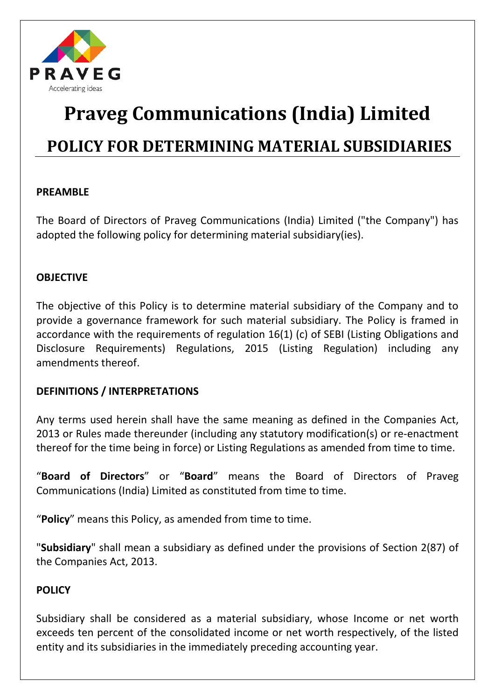

# **Praveg Communications (India) Limited POLICY FOR DETERMINING MATERIAL SUBSIDIARIES**

# **PREAMBLE**

The Board of Directors of Praveg Communications (India) Limited ("the Company") has adopted the following policy for determining material subsidiary(ies).

### **OBJECTIVE**

The objective of this Policy is to determine material subsidiary of the Company and to provide a governance framework for such material subsidiary. The Policy is framed in accordance with the requirements of regulation 16(1) (c) of SEBI (Listing Obligations and Disclosure Requirements) Regulations, 2015 (Listing Regulation) including any amendments thereof.

# **DEFINITIONS / INTERPRETATIONS**

Any terms used herein shall have the same meaning as defined in the Companies Act, 2013 or Rules made thereunder (including any statutory modification(s) or re-enactment thereof for the time being in force) or Listing Regulations as amended from time to time.

"**Board of Directors**" or "**Board**" means the Board of Directors of Praveg Communications (India) Limited as constituted from time to time.

"**Policy**" means this Policy, as amended from time to time.

"**Subsidiary**" shall mean a subsidiary as defined under the provisions of Section 2(87) of the Companies Act, 2013.

### **POLICY**

Subsidiary shall be considered as a material subsidiary, whose Income or net worth exceeds ten percent of the consolidated income or net worth respectively, of the listed entity and its subsidiaries in the immediately preceding accounting year.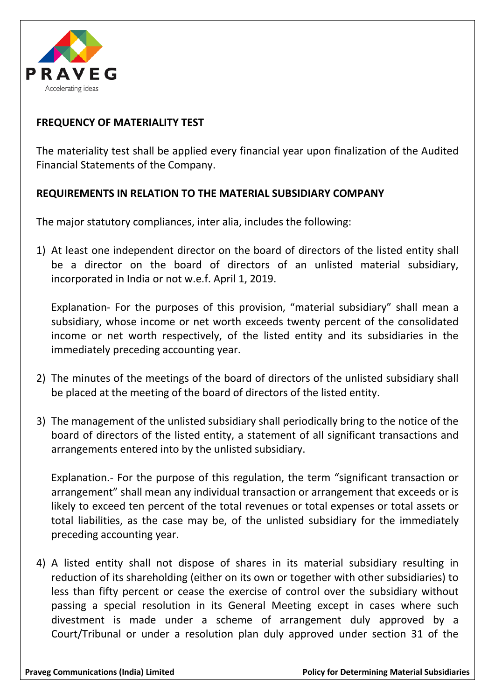

# **FREQUENCY OF MATERIALITY TEST**

The materiality test shall be applied every financial year upon finalization of the Audited Financial Statements of the Company.

### **REQUIREMENTS IN RELATION TO THE MATERIAL SUBSIDIARY COMPANY**

The major statutory compliances, inter alia, includes the following:

1) At least one independent director on the board of directors of the listed entity shall be a director on the board of directors of an unlisted material subsidiary, incorporated in India or not w.e.f. April 1, 2019.

Explanation- For the purposes of this provision, "material subsidiary" shall mean a subsidiary, whose income or net worth exceeds twenty percent of the consolidated income or net worth respectively, of the listed entity and its subsidiaries in the immediately preceding accounting year.

- 2) The minutes of the meetings of the board of directors of the unlisted subsidiary shall be placed at the meeting of the board of directors of the listed entity.
- 3) The management of the unlisted subsidiary shall periodically bring to the notice of the board of directors of the listed entity, a statement of all significant transactions and arrangements entered into by the unlisted subsidiary.

Explanation.- For the purpose of this regulation, the term "significant transaction or arrangement" shall mean any individual transaction or arrangement that exceeds or is likely to exceed ten percent of the total revenues or total expenses or total assets or total liabilities, as the case may be, of the unlisted subsidiary for the immediately preceding accounting year.

4) A listed entity shall not dispose of shares in its material subsidiary resulting in reduction of its shareholding (either on its own or together with other subsidiaries) to less than fifty percent or cease the exercise of control over the subsidiary without passing a special resolution in its General Meeting except in cases where such divestment is made under a scheme of arrangement duly approved by a Court/Tribunal or under a resolution plan duly approved under section 31 of the